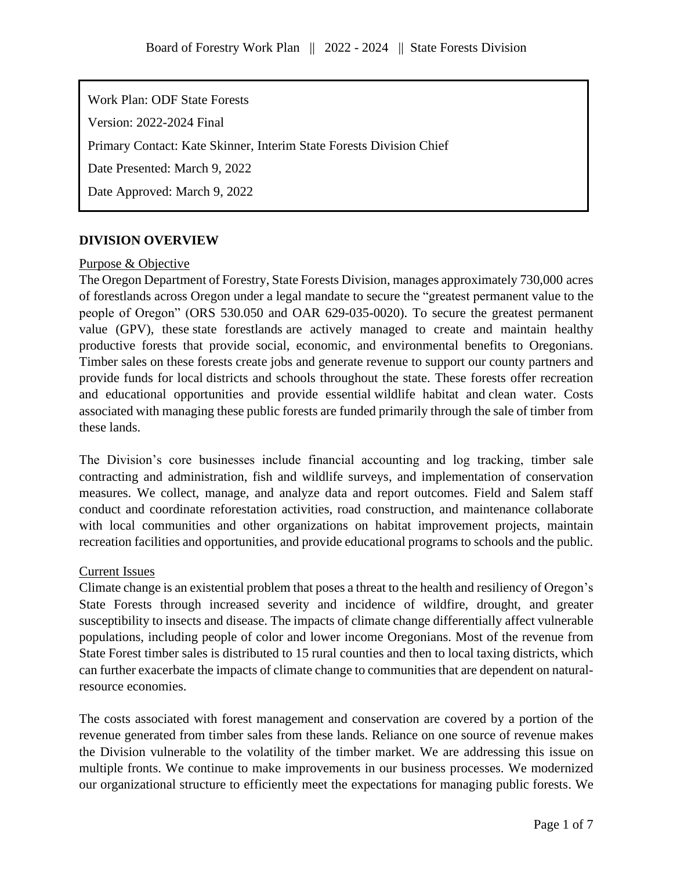Work Plan: ODF State Forests

Version: 2022-2024 Final

Primary Contact: Kate Skinner, Interim State Forests Division Chief

Date Presented: March 9, 2022

Date Approved: March 9, 2022

# **DIVISION OVERVIEW**

#### Purpose & Objective

The Oregon Department of Forestry, State Forests Division, manages approximately 730,000 acres of forestlands across Oregon under a legal mandate to secure the "greatest permanent value to the people of Oregon" (ORS 530.050 and OAR 629-035-0020). To secure the greatest permanent value (GPV), these state forestlands are actively managed to create and maintain healthy productive forests that provide social, economic, and environmental benefits to Oregonians. Timber sales on these forests create jobs and generate revenue to support our county partners and provide funds for local districts and schools throughout the state. These forests offer recreation and educational opportunities and provide essential wildlife habitat and clean water. Costs associated with managing these public forests are funded primarily through the sale of timber from these lands.

The Division's core businesses include financial accounting and log tracking, timber sale contracting and administration, fish and wildlife surveys, and implementation of conservation measures. We collect, manage, and analyze data and report outcomes. Field and Salem staff conduct and coordinate reforestation activities, road construction, and maintenance collaborate with local communities and other organizations on habitat improvement projects, maintain recreation facilities and opportunities, and provide educational programs to schools and the public.

## Current Issues

Climate change is an existential problem that poses a threat to the health and resiliency of Oregon's State Forests through increased severity and incidence of wildfire, drought, and greater susceptibility to insects and disease. The impacts of climate change differentially affect vulnerable populations, including people of color and lower income Oregonians. Most of the revenue from State Forest timber sales is distributed to 15 rural counties and then to local taxing districts, which can further exacerbate the impacts of climate change to communities that are dependent on naturalresource economies.

The costs associated with forest management and conservation are covered by a portion of the revenue generated from timber sales from these lands. Reliance on one source of revenue makes the Division vulnerable to the volatility of the timber market. We are addressing this issue on multiple fronts. We continue to make improvements in our business processes. We modernized our organizational structure to efficiently meet the expectations for managing public forests. We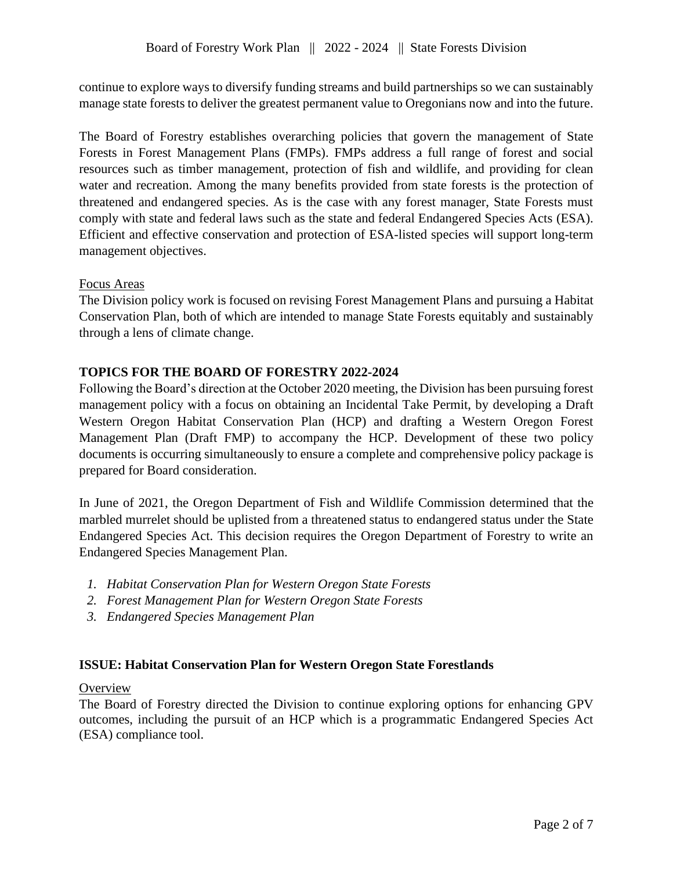continue to explore ways to diversify funding streams and build partnerships so we can sustainably manage state forests to deliver the greatest permanent value to Oregonians now and into the future.

The Board of Forestry establishes overarching policies that govern the management of State Forests in Forest Management Plans (FMPs). FMPs address a full range of forest and social resources such as timber management, protection of fish and wildlife, and providing for clean water and recreation. Among the many benefits provided from state forests is the protection of threatened and endangered species. As is the case with any forest manager, State Forests must comply with state and federal laws such as the state and federal Endangered Species Acts (ESA). Efficient and effective conservation and protection of ESA-listed species will support long-term management objectives.

#### Focus Areas

The Division policy work is focused on revising Forest Management Plans and pursuing a Habitat Conservation Plan, both of which are intended to manage State Forests equitably and sustainably through a lens of climate change.

## **TOPICS FOR THE BOARD OF FORESTRY 2022-2024**

Following the Board's direction at the October 2020 meeting, the Division has been pursuing forest management policy with a focus on obtaining an Incidental Take Permit, by developing a Draft Western Oregon Habitat Conservation Plan (HCP) and drafting a Western Oregon Forest Management Plan (Draft FMP) to accompany the HCP. Development of these two policy documents is occurring simultaneously to ensure a complete and comprehensive policy package is prepared for Board consideration.

In June of 2021, the Oregon Department of Fish and Wildlife Commission determined that the marbled murrelet should be uplisted from a threatened status to endangered status under the State Endangered Species Act. This decision requires the Oregon Department of Forestry to write an Endangered Species Management Plan.

- *1. Habitat Conservation Plan for Western Oregon State Forests*
- *2. Forest Management Plan for Western Oregon State Forests*
- *3. Endangered Species Management Plan*

## **ISSUE: Habitat Conservation Plan for Western Oregon State Forestlands**

#### **Overview**

The Board of Forestry directed the Division to continue exploring options for enhancing GPV outcomes, including the pursuit of an HCP which is a programmatic Endangered Species Act (ESA) compliance tool.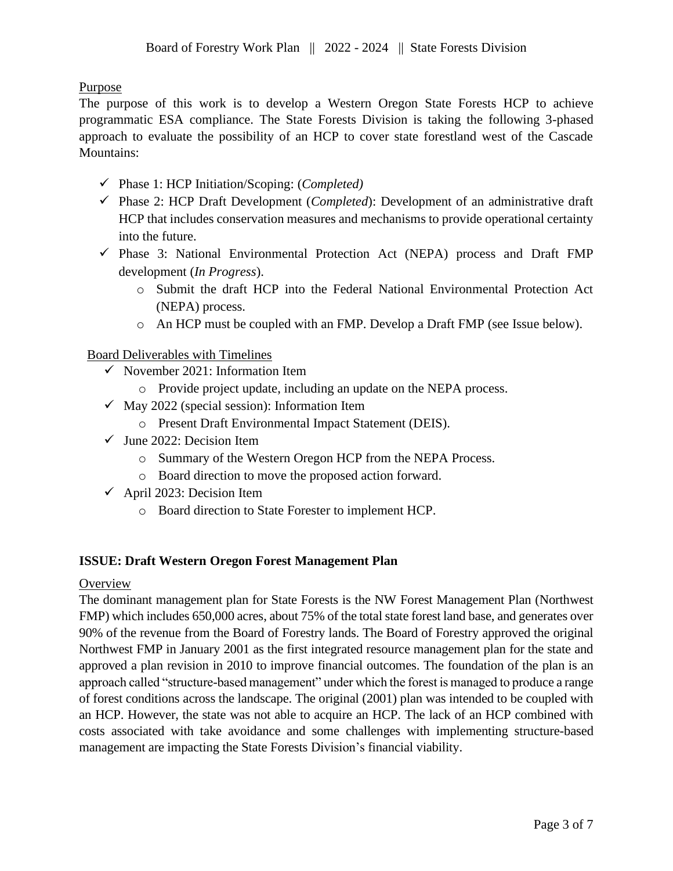Purpose

The purpose of this work is to develop a Western Oregon State Forests HCP to achieve programmatic ESA compliance. The State Forests Division is taking the following 3-phased approach to evaluate the possibility of an HCP to cover state forestland west of the Cascade Mountains:

- ✓ Phase 1: HCP Initiation/Scoping: (*Completed)*
- ✓ Phase 2: HCP Draft Development (*Completed*): Development of an administrative draft HCP that includes conservation measures and mechanisms to provide operational certainty into the future.
- $\checkmark$  Phase 3: National Environmental Protection Act (NEPA) process and Draft FMP development (*In Progress*).
	- o Submit the draft HCP into the Federal National Environmental Protection Act (NEPA) process.
	- o An HCP must be coupled with an FMP. Develop a Draft FMP (see Issue below).

## Board Deliverables with Timelines

- $\checkmark$  November 2021: Information Item
	- o Provide project update, including an update on the NEPA process.
- $\checkmark$  May 2022 (special session): Information Item
	- o Present Draft Environmental Impact Statement (DEIS).
- $\checkmark$  June 2022: Decision Item
	- o Summary of the Western Oregon HCP from the NEPA Process.
	- o Board direction to move the proposed action forward.
- $\checkmark$  April 2023: Decision Item
	- o Board direction to State Forester to implement HCP.

## **ISSUE: Draft Western Oregon Forest Management Plan**

## **Overview**

The dominant management plan for State Forests is the NW Forest Management Plan (Northwest FMP) which includes 650,000 acres, about 75% of the total state forest land base, and generates over 90% of the revenue from the Board of Forestry lands. The Board of Forestry approved the original Northwest FMP in January 2001 as the first integrated resource management plan for the state and approved a plan revision in 2010 to improve financial outcomes. The foundation of the plan is an approach called "structure-based management" under which the forest is managed to produce a range of forest conditions across the landscape. The original (2001) plan was intended to be coupled with an HCP. However, the state was not able to acquire an HCP. The lack of an HCP combined with costs associated with take avoidance and some challenges with implementing structure-based management are impacting the State Forests Division's financial viability.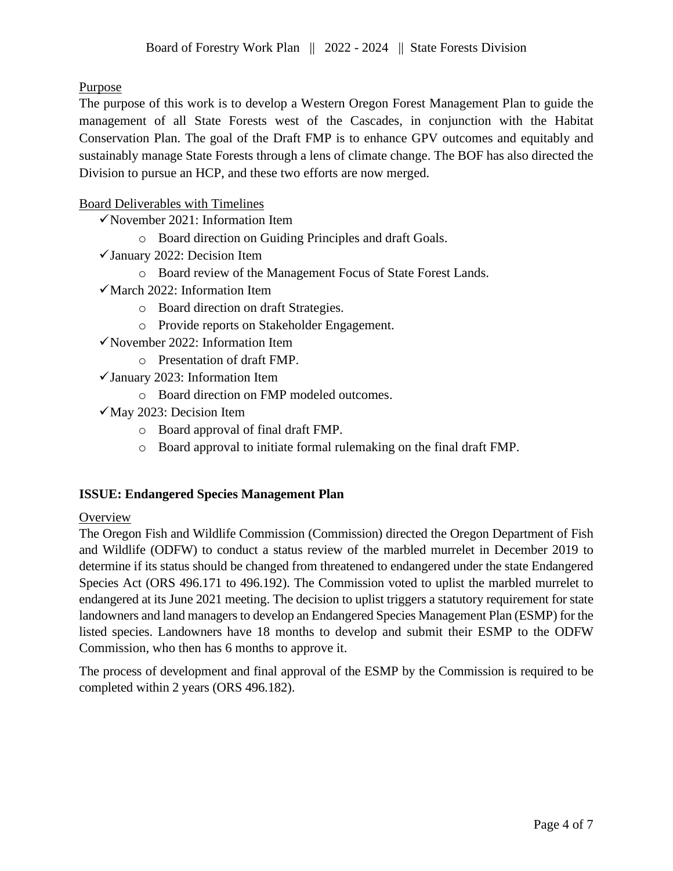# Purpose

The purpose of this work is to develop a Western Oregon Forest Management Plan to guide the management of all State Forests west of the Cascades, in conjunction with the Habitat Conservation Plan. The goal of the Draft FMP is to enhance GPV outcomes and equitably and sustainably manage State Forests through a lens of climate change. The BOF has also directed the Division to pursue an HCP, and these two efforts are now merged.

## Board Deliverables with Timelines

- $\checkmark$  November 2021: Information Item
	- o Board direction on Guiding Principles and draft Goals.
- $\checkmark$  January 2022: Decision Item
	- o Board review of the Management Focus of State Forest Lands.
- ✓March 2022: Information Item
	- o Board direction on draft Strategies.
	- o Provide reports on Stakeholder Engagement.
- $\checkmark$  November 2022: Information Item
	- o Presentation of draft FMP.
- $\checkmark$  January 2023: Information Item
	- o Board direction on FMP modeled outcomes.
- $\sqrt{May 2023}$ : Decision Item
	- o Board approval of final draft FMP.
	- o Board approval to initiate formal rulemaking on the final draft FMP.

## **ISSUE: Endangered Species Management Plan**

## **Overview**

The Oregon Fish and Wildlife Commission (Commission) directed the Oregon Department of Fish and Wildlife (ODFW) to conduct a status review of the marbled murrelet in December 2019 to determine if its status should be changed from threatened to endangered under the state Endangered Species Act (ORS 496.171 to 496.192). The Commission voted to uplist the marbled murrelet to endangered at its June 2021 meeting. The decision to uplist triggers a statutory requirement for state landowners and land managers to develop an Endangered Species Management Plan (ESMP) for the listed species. Landowners have 18 months to develop and submit their ESMP to the ODFW Commission, who then has 6 months to approve it.

The process of development and final approval of the ESMP by the Commission is required to be completed within 2 years (ORS 496.182).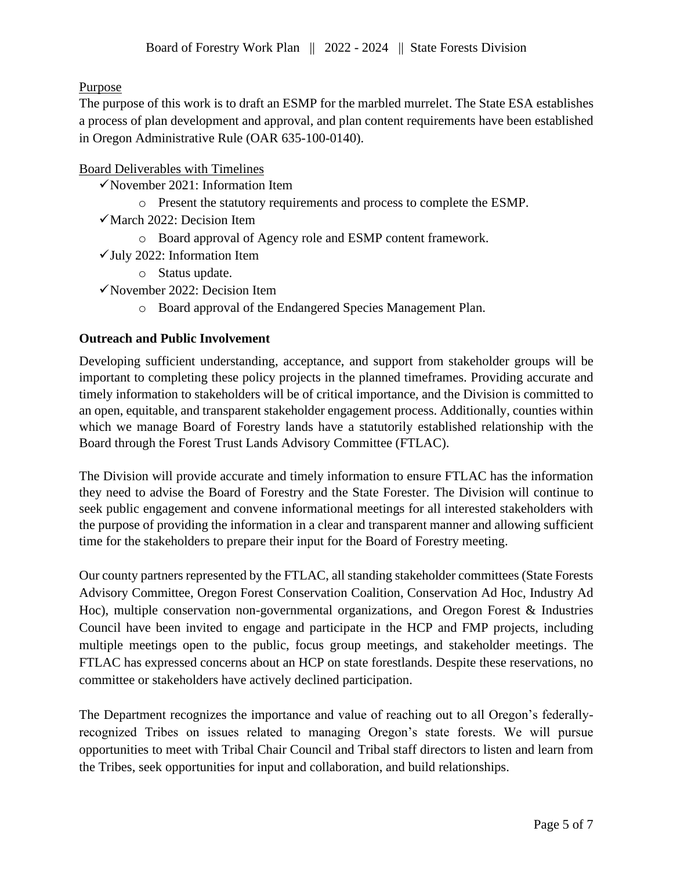Purpose

The purpose of this work is to draft an ESMP for the marbled murrelet. The State ESA establishes a process of plan development and approval, and plan content requirements have been established in Oregon Administrative Rule (OAR 635-100-0140).

## Board Deliverables with Timelines

- $\checkmark$  November 2021: Information Item
	- o Present the statutory requirements and process to complete the ESMP.
- $\checkmark$  March 2022: Decision Item
	- o Board approval of Agency role and ESMP content framework.
- $\checkmark$  July 2022: Information Item
	- o Status update.
- ✓November 2022: Decision Item
	- o Board approval of the Endangered Species Management Plan.

## **Outreach and Public Involvement**

Developing sufficient understanding, acceptance, and support from stakeholder groups will be important to completing these policy projects in the planned timeframes. Providing accurate and timely information to stakeholders will be of critical importance, and the Division is committed to an open, equitable, and transparent stakeholder engagement process. Additionally, counties within which we manage Board of Forestry lands have a statutorily established relationship with the Board through the Forest Trust Lands Advisory Committee (FTLAC).

The Division will provide accurate and timely information to ensure FTLAC has the information they need to advise the Board of Forestry and the State Forester. The Division will continue to seek public engagement and convene informational meetings for all interested stakeholders with the purpose of providing the information in a clear and transparent manner and allowing sufficient time for the stakeholders to prepare their input for the Board of Forestry meeting.

Our county partners represented by the FTLAC, all standing stakeholder committees (State Forests Advisory Committee, Oregon Forest Conservation Coalition, Conservation Ad Hoc, Industry Ad Hoc), multiple conservation non-governmental organizations, and Oregon Forest & Industries Council have been invited to engage and participate in the HCP and FMP projects, including multiple meetings open to the public, focus group meetings, and stakeholder meetings. The FTLAC has expressed concerns about an HCP on state forestlands. Despite these reservations, no committee or stakeholders have actively declined participation.

The Department recognizes the importance and value of reaching out to all Oregon's federallyrecognized Tribes on issues related to managing Oregon's state forests. We will pursue opportunities to meet with Tribal Chair Council and Tribal staff directors to listen and learn from the Tribes, seek opportunities for input and collaboration, and build relationships.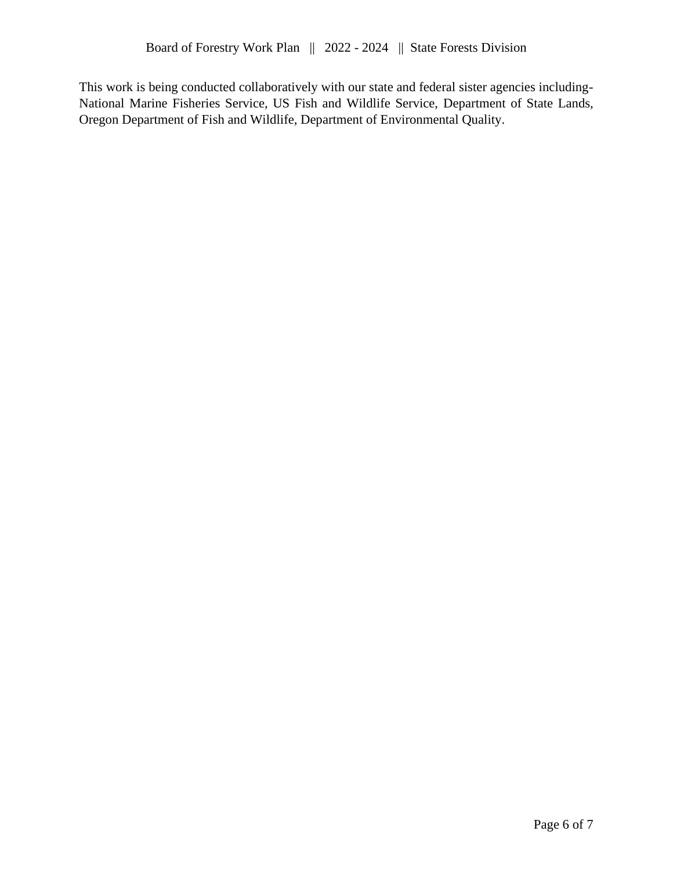This work is being conducted collaboratively with our state and federal sister agencies including-National Marine Fisheries Service, US Fish and Wildlife Service, Department of State Lands, Oregon Department of Fish and Wildlife, Department of Environmental Quality.